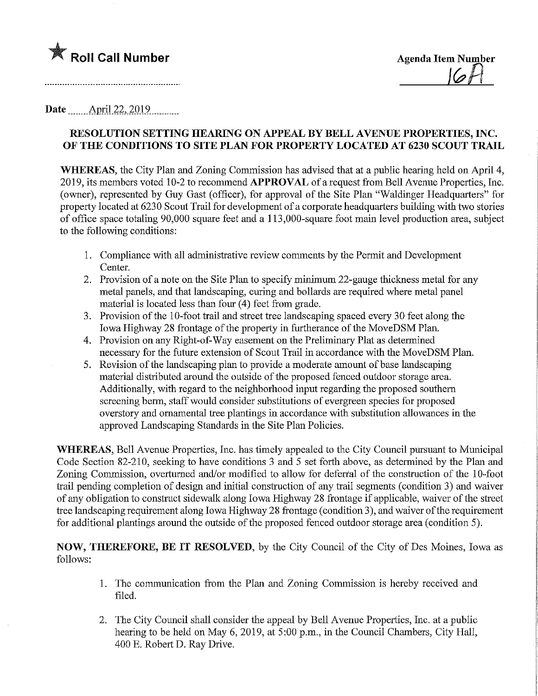

Date \_\_\_\_\_\_ April 22, 2019

## RESOLUTION SETTING HEARING ON APPEAL BY BELL AVENUE PROPERTIES, INC. OF THE CONDITIONS TO SITE PLAN FOR PROPERTY LOCATED AT 6230 SCOUT TRAIL

WHEREAS, the City Plan and Zoning Commission has advised that at a public hearing held on April 4, 2019, its members voted 10-2 to recommend APPROVAL of a request from Bell Avenue Properties, Inc. (owner), represented by Guy Gast (officer), for approval of the Site Plan "Waldmger Headquarters" for property located at 6230 Scout Trail for development of a corporate headquarters building with two stories of office space totaling 90,000 square feet and a 113,000-square foot main level production area, subject to the followmg conditions:

- 1. Compliance with all administrative review comments by the Permit and Development Center.
- 2. Provision of a note on the Site Plan to specify minimum 22-gauge thickness metal for any metal panels, and that landscaping, curing and bollards are required where metal panel material is located less than four (4) feet from grade.
- 3. Provision of the 10-foot trail and street tree landscaping spaced every 30 feet along the Iowa Highway 28 frontage of the property in furtherance of the MoveDSM Plan.
- 4. Provision on any Right-of-Way easement on the Preliminary Plat as determined necessary for the future extension of Scout Trail in accordance with the MoveDSM Plan.
- 5. Revision of the landscaping plan to provide a moderate amount of base landscaping material distributed around the outside of the proposed fenced outdoor storage area. Additionally, with regard to the neighborhood input regarding the proposed southern screening berm, staff would consider substitutions of evergreen species for proposed overstory and ornamental tree plantings in accordance with substitution allowances in the approved Landscaping Standards in the Site Plan Policies.

WHEREAS, Bell Avenue Properties, Inc. has timely appealed to the City Council pursuant to Municipal Code Section 82-210, seeking to have conditions 3 and 5 set forth above, as determined by the Plan and Zoning Commission, overturned and/or modified to allow for deferral of the construction of the 10-foot trail pending completion of design and initial construction of any trail segments (condition 3) and waiver of any obligation to construct sidewalk along Iowa Highway 28 frontage if applicable, waiver of the street tree landscaping requirement along Iowa Highway 28 firontage (condition 3), and waiver of the requirement for additional plantings around the outside of the proposed fenced outdoor storage area (condition 5).

NOW, THEREFORE, BE IT RESOLVED, by the City Council of the City of Des Moines, Iowa as follows:

- 1. The communication from the Plan and Zoning Commission is hereby received and filed.
- 2. The City Council shall consider the appeal by Bell Avenue Properties, Inc. at a public hearing to be held on May 6, 2019, at 5:00 p.m., in the Council Chambers, City Hall, 400 E. Robert D. Ray Drive.